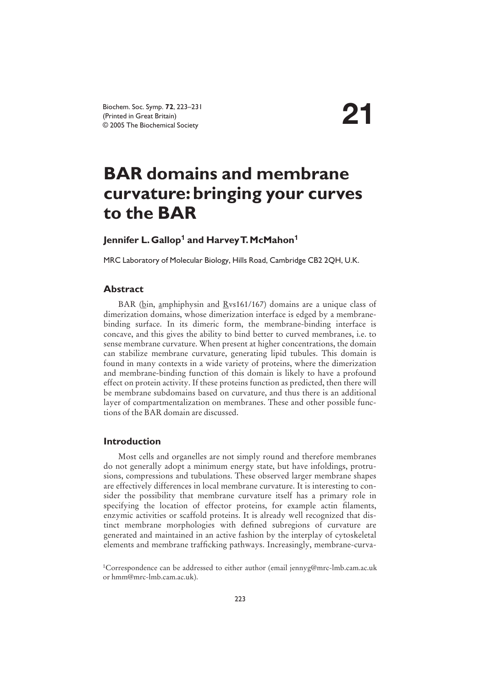# **BAR domains and membrane curvature:bringing your curves to the BAR**

## **Jennifer L.Gallop<sup>1</sup> and Harvey T.McMahon<sup>1</sup>**

MRC Laboratory of Molecular Biology, Hills Road, Cambridge CB2 2QH, U.K.

### **Abstract**

BAR (bin, amphiphysin and  $Rvs161/167$ ) domains are a unique class of dimerization domains, whose dimerization interface is edged by a membranebinding surface. In its dimeric form, the membrane-binding interface is concave, and this gives the ability to bind better to curved membranes, i.e. to sense membrane curvature. When present at higher concentrations, the domain can stabilize membrane curvature, generating lipid tubules. This domain is found in many contexts in a wide variety of proteins, where the dimerization and membrane-binding function of this domain is likely to have a profound effect on protein activity. If these proteins function as predicted, then there will be membrane subdomains based on curvature, and thus there is an additional layer of compartmentalization on membranes. These and other possible functions of the BAR domain are discussed.

#### **Introduction**

Most cells and organelles are not simply round and therefore membranes do not generally adopt a minimum energy state, but have infoldings, protrusions, compressions and tubulations. These observed larger membrane shapes are effectively differences in local membrane curvature. It is interesting to consider the possibility that membrane curvature itself has a primary role in specifying the location of effector proteins, for example actin filaments, enzymic activities or scaffold proteins. It is already well recognized that distinct membrane morphologies with defined subregions of curvature are generated and maintained in an active fashion by the interplay of cytoskeletal elements and membrane trafficking pathways. Increasingly, membrane-curva-

<sup>&</sup>lt;sup>1</sup>Correspondence can be addressed to either author (email jennyg@mrc-lmb.cam.ac.uk or hmm@mrc-lmb.cam.ac.uk).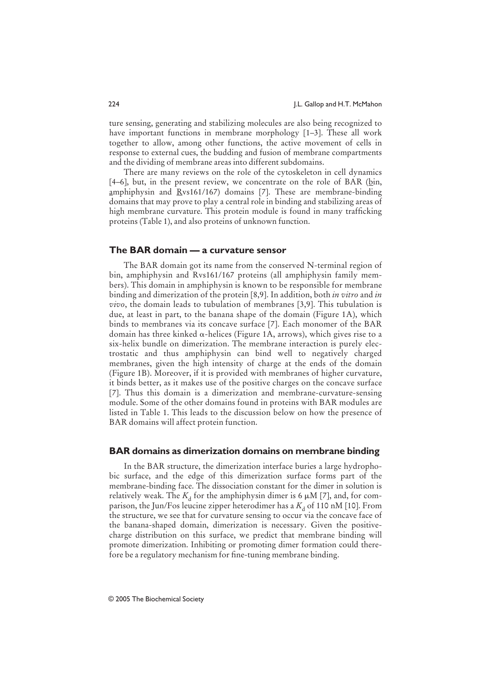ture sensing, generating and stabilizing molecules are also being recognized to have important functions in membrane morphology [1–3]. These all work together to allow, among other functions, the active movement of cells in response to external cues, the budding and fusion of membrane compartments and the dividing of membrane areas into different subdomains.

There are many reviews on the role of the cytoskeleton in cell dynamics [4–6], but, in the present review, we concentrate on the role of BAR ( $\frac{bin}{n}$ , amphiphysin and Rvs161/167) domains [7]. These are membrane-binding domains that may prove to play a central role in binding and stabilizing areas of high membrane curvature. This protein module is found in many trafficking proteins (Table 1), and also proteins of unknown function.

#### **The BAR domain — a curvature sensor**

The BAR domain got its name from the conserved N-terminal region of bin, amphiphysin and Rvs161/167 proteins (all amphiphysin family members). This domain in amphiphysin is known to be responsible for membrane binding and dimerization of the protein [8,9]. In addition, both *in vitro* and *in vivo*, the domain leads to tubulation of membranes [3,9]. This tubulation is due, at least in part, to the banana shape of the domain (Figure 1A), which binds to membranes via its concave surface [7]. Each monomer of the BAR domain has three kinked  $\alpha$ -helices (Figure 1A, arrows), which gives rise to a six-helix bundle on dimerization. The membrane interaction is purely electrostatic and thus amphiphysin can bind well to negatively charged membranes, given the high intensity of charge at the ends of the domain (Figure 1B). Moreover, if it is provided with membranes of higher curvature, it binds better, as it makes use of the positive charges on the concave surface [7]. Thus this domain is a dimerization and membrane-curvature-sensing module. Some of the other domains found in proteins with BAR modules are listed in Table 1. This leads to the discussion below on how the presence of BAR domains will affect protein function.

#### **BAR domains as dimerization domains on membrane binding**

In the BAR structure, the dimerization interface buries a large hydrophobic surface, and the edge of this dimerization surface forms part of the membrane-binding face. The dissociation constant for the dimer in solution is relatively weak. The  $K_{\rm d}$  for the amphiphysin dimer is 6  $\mu$ M [7], and, for comparison, the Jun/Fos leucine zipper heterodimer has a  $K<sub>A</sub>$  of 110 nM [10]. From the structure, we see that for curvature sensing to occur via the concave face of the banana-shaped domain, dimerization is necessary. Given the positivecharge distribution on this surface, we predict that membrane binding will promote dimerization. Inhibiting or promoting dimer formation could therefore be a regulatory mechanism for fine-tuning membrane binding.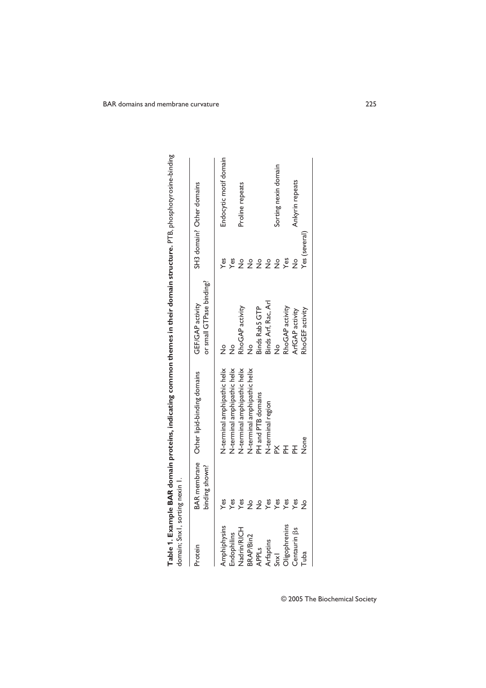| domain; Snx1, sorting nexin 1. |                |                                          |                                              |               |                           |
|--------------------------------|----------------|------------------------------------------|----------------------------------------------|---------------|---------------------------|
| Protein                        | binding shown? | BAR membrane Other lipid-binding domains | or small GTPase binding?<br>GEF/GAP activity |               | SH3 domain? Other domains |
| Amphiphysins                   | Yes            | N-terminal amphipathic helix             | $\frac{1}{2}$                                | Yes           | Endocytic motif domain    |
| Endophilins                    | Yes            | N-terminal amphipathic helix             |                                              | Yes           |                           |
| Nadrin/RICH                    | Yes            | N-terminal amphipathic helix             | RhoGAP activity                              | $\frac{1}{2}$ | Proline repeats           |
| BRAP/Bin2                      |                | N-terminal amphipathic helix             |                                              | $\frac{1}{2}$ |                           |
| <b>APPLs</b>                   | $\frac{1}{2}$  | PH and PTB domains                       | Binds Rab5 GTP                               | $\frac{1}{2}$ |                           |
| Arfaptins                      | Yes            | N-terminal region                        | Binds Arf, Rac, Arl                          | $\frac{1}{2}$ |                           |
| S <sub>n</sub>                 | Yes            |                                          | $\frac{1}{2}$                                | $\frac{1}{2}$ | Sorting nexin domain      |
| Oligophrenins                  | Yes            |                                          | RhoGAP activity                              | Yes           |                           |
| Centaurin <sub>[3s</sub>       | Yes            |                                          | ArtGAP activity                              | $\frac{1}{2}$ | Ankyrin repeats           |
| Tuba                           |                | None                                     | RhoGEF activity                              | Yes (several) |                           |
|                                |                |                                          |                                              |               |                           |

Table 1. Example BAR domain proteins, indicating common themes in their domain structure. PTB, phosphotyrosine-binding **Table 1. Example BAR domain proteins, indicating common themes in their domain structure.** PTB, phosphotyrosine-binding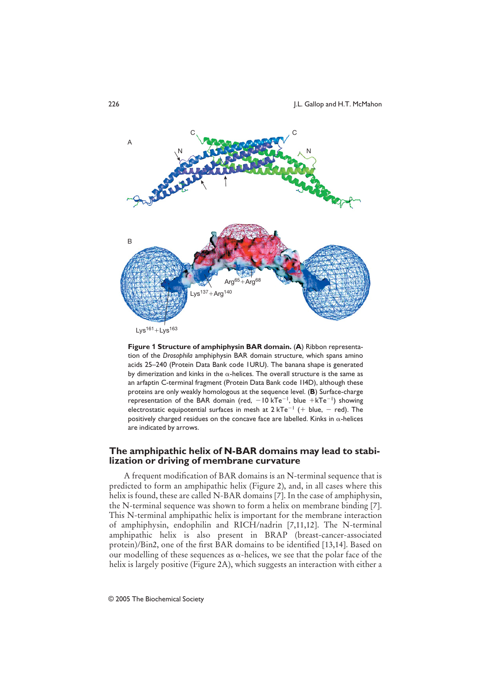

**Figure 1 Structure of amphiphysin BAR domain.** (**A**) Ribbon representation of the *Drosophila* amphiphysin BAR domain structure, which spans amino acids 25–240 (Protein Data Bank code 1URU). The banana shape is generated by dimerization and kinks in the  $\alpha$ -helices. The overall structure is the same as an arfaptin C-terminal fragment (Protein Data Bank code 1I4D), although these proteins are only weakly homologous at the sequence level. (**B**) Surface-charge representation of the BAR domain (red,  $-10$  kTe<sup>-1</sup>, blue +kTe<sup>-1</sup>) showing electrostatic equipotential surfaces in mesh at  $2 kTe^{-1}$  (+ blue, - red). The positively charged residues on the concave face are labelled. Kinks in  $\alpha$ -helices are indicated by arrows.

### **The amphipathic helix of N-BAR domains may lead to stabilization or driving of membrane curvature**

A frequent modification of BAR domains is an N-terminal sequence that is predicted to form an amphipathic helix (Figure 2), and, in all cases where this helix is found, these are called N-BAR domains [7]. In the case of amphiphysin, the N-terminal sequence was shown to form a helix on membrane binding [7]. This N-terminal amphipathic helix is important for the membrane interaction of amphiphysin, endophilin and RICH/nadrin [7,11,12]. The N-terminal amphipathic helix is also present in BRAP (breast-cancer-associated protein)/Bin2, one of the first BAR domains to be identified [13,14]. Based on our modelling of these sequences as  $\alpha$ -helices, we see that the polar face of the helix is largely positive (Figure 2A), which suggests an interaction with either a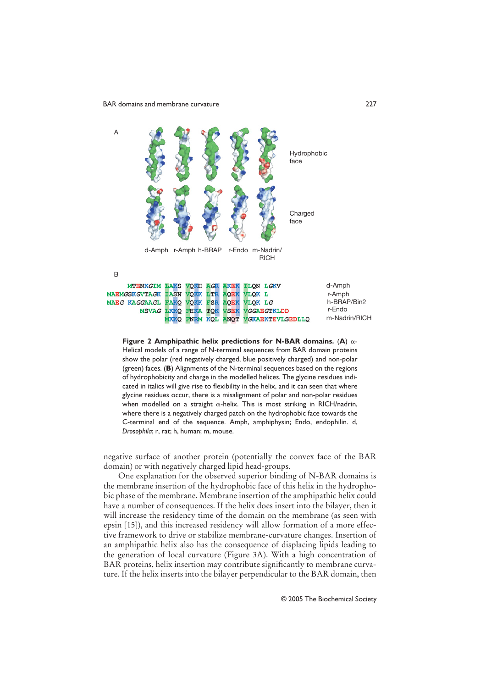



negative surface of another protein (potentially the convex face of the BAR domain) or with negatively charged lipid head-groups.

One explanation for the observed superior binding of N-BAR domains is the membrane insertion of the hydrophobic face of this helix in the hydrophobic phase of the membrane. Membrane insertion of the amphipathic helix could have a number of consequences. If the helix does insert into the bilayer, then it will increase the residency time of the domain on the membrane (as seen with epsin [15]), and this increased residency will allow formation of a more effective framework to drive or stabilize membrane-curvature changes. Insertion of an amphipathic helix also has the consequence of displacing lipids leading to the generation of local curvature (Figure 3A). With a high concentration of BAR proteins, helix insertion may contribute significantly to membrane curvature. If the helix inserts into the bilayer perpendicular to the BAR domain, then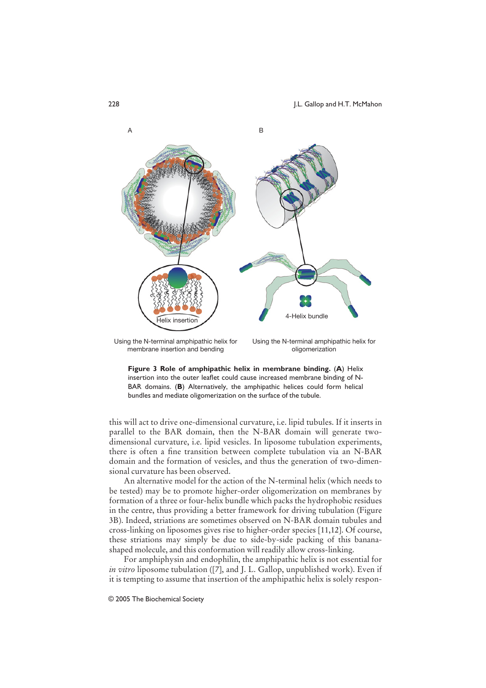

Using the N-terminal amphipathic helix for membrane insertion and bending

Using the N-terminal amphipathic helix for oligomerization



this will act to drive one-dimensional curvature, i.e. lipid tubules. If it inserts in parallel to the BAR domain, then the N-BAR domain will generate twodimensional curvature, i.e. lipid vesicles. In liposome tubulation experiments, there is often a fine transition between complete tubulation via an N-BAR domain and the formation of vesicles, and thus the generation of two-dimensional curvature has been observed.

An alternative model for the action of the N-terminal helix (which needs to be tested) may be to promote higher-order oligomerization on membranes by formation of a three or four-helix bundle which packs the hydrophobic residues in the centre, thus providing a better framework for driving tubulation (Figure 3B). Indeed, striations are sometimes observed on N-BAR domain tubules and cross-linking on liposomes gives rise to higher-order species [11,12]. Of course, these striations may simply be due to side-by-side packing of this bananashaped molecule, and this conformation will readily allow cross-linking.

For amphiphysin and endophilin, the amphipathic helix is not essential for *in vitro* liposome tubulation ([7], and J. L. Gallop, unpublished work). Even if it is tempting to assume that insertion of the amphipathic helix is solely respon-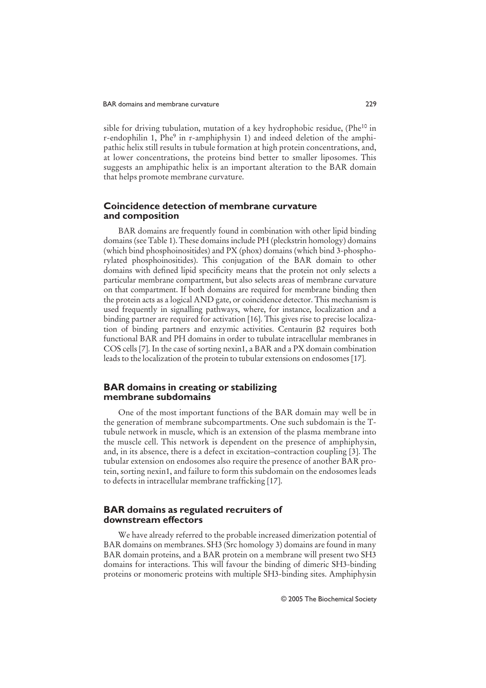sible for driving tubulation, mutation of a key hydrophobic residue, (Phe<sup>10</sup> in r-endophilin 1, Phe<sup>9</sup> in r-amphiphysin 1) and indeed deletion of the amphipathic helix still results in tubule formation at high protein concentrations, and, at lower concentrations, the proteins bind better to smaller liposomes. This suggests an amphipathic helix is an important alteration to the BAR domain that helps promote membrane curvature.

#### **Coincidence detection of membrane curvature and composition**

BAR domains are frequently found in combination with other lipid binding domains (see Table 1). These domains include PH (pleckstrin homology) domains (which bind phosphoinositides) and PX (phox) domains (which bind 3-phosphorylated phosphoinositides). This conjugation of the BAR domain to other domains with defined lipid specificity means that the protein not only selects a particular membrane compartment, but also selects areas of membrane curvature on that compartment. If both domains are required for membrane binding then the protein acts as a logical AND gate, or coincidence detector. This mechanism is used frequently in signalling pathways, where, for instance, localization and a binding partner are required for activation [16]. This gives rise to precise localization of binding partners and enzymic activities. Centaurin  $\beta$ 2 requires both functional BAR and PH domains in order to tubulate intracellular membranes in COS cells [7]. In the case of sorting nexin1, a BAR and a PX domain combination leads to the localization of the protein to tubular extensions on endosomes [17].

#### **BAR domains in creating or stabilizing membrane subdomains**

One of the most important functions of the BAR domain may well be in the generation of membrane subcompartments. One such subdomain is the Ttubule network in muscle, which is an extension of the plasma membrane into the muscle cell. This network is dependent on the presence of amphiphysin, and, in its absence, there is a defect in excitation–contraction coupling [3]. The tubular extension on endosomes also require the presence of another BAR protein, sorting nexin1, and failure to form this subdomain on the endosomes leads to defects in intracellular membrane trafficking [17].

#### **BAR domains as regulated recruiters of downstream effectors**

We have already referred to the probable increased dimerization potential of BAR domains on membranes. SH3 (Src homology 3) domains are found in many BAR domain proteins, and a BAR protein on a membrane will present two SH3 domains for interactions. This will favour the binding of dimeric SH3-binding proteins or monomeric proteins with multiple SH3-binding sites. Amphiphysin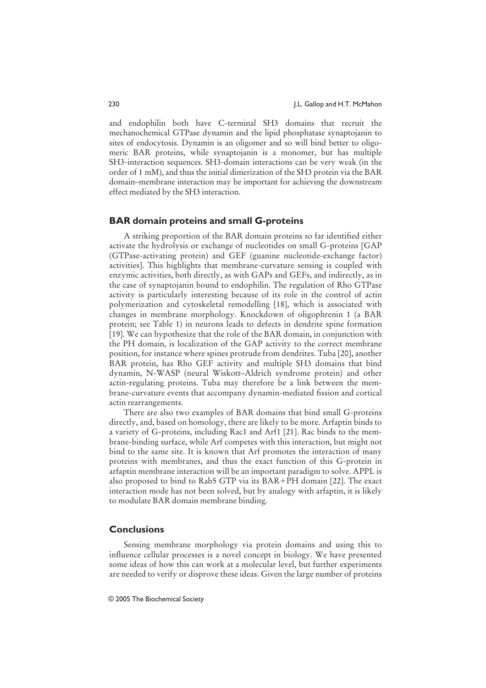and endophilin both have C-terminal SH3 domains that recruit the mechanochemical GTPase dynamin and the lipid phosphatase synaptojanin to sites of endocytosis. Dynamin is an oligomer and so will bind better to oligomeric BAR proteins, while synaptojanin is a monomer, but has multiple SH3-interaction sequences. SH3-domain interactions can be very weak (in the order of 1 mM), and thus the initial dimerization of the SH3 protein via the BAR domain–membrane interaction may be important for achieving the downstream effect mediated by the SH3 interaction.

#### **BAR domain proteins and small G-proteins**

A striking proportion of the BAR domain proteins so far identified either activate the hydrolysis or exchange of nucleotides on small G-proteins [GAP (GTPase-activating protein) and GEF (guanine nucleotide-exchange factor) activities]. This highlights that membrane-curvature sensing is coupled with enzymic activities, both directly, as with GAPs and GEFs, and indirectly, as in the case of synaptojanin bound to endophilin. The regulation of Rho GTPase activity is particularly interesting because of its role in the control of actin polymerization and cytoskeletal remodelling [18], which is associated with changes in membrane morphology. Knockdown of oligophrenin 1 (a BAR protein; see Table 1) in neurons leads to defects in dendrite spine formation [19]. We can hypothesize that the role of the BAR domain, in conjunction with the PH domain, is localization of the GAP activity to the correct membrane position, for instance where spines protrude from dendrites. Tuba [20], another BAR protein, has Rho GEF activity and multiple SH3 domains that bind dynamin, N-WASP (neural Wiskott–Aldrich syndrome protein) and other actin-regulating proteins. Tuba may therefore be a link between the membrane-curvature events that accompany dynamin-mediated fission and cortical actin rearrangements.

There are also two examples of BAR domains that bind small G-proteins directly, and, based on homology, there are likely to be more. Arfaptin binds to a variety of G-proteins, including Rac1 and Arf1 [21]. Rac binds to the membrane-binding surface, while Arf competes with this interaction, but might not bind to the same site. It is known that Arf promotes the interaction of many proteins with membranes, and thus the exact function of this G-protein in arfaptin membrane interaction will be an important paradigm to solve. APPL is also proposed to bind to Rab5 GTP via its  $BAR+PH$  domain [22]. The exact interaction mode has not been solved, but by analogy with arfaptin, it is likely to modulate BAR domain membrane binding.

#### **Conclusions**

Sensing membrane morphology via protein domains and using this to influence cellular processes is a novel concept in biology. We have presented some ideas of how this can work at a molecular level, but further experiments are needed to verify or disprove these ideas. Given the large number of proteins